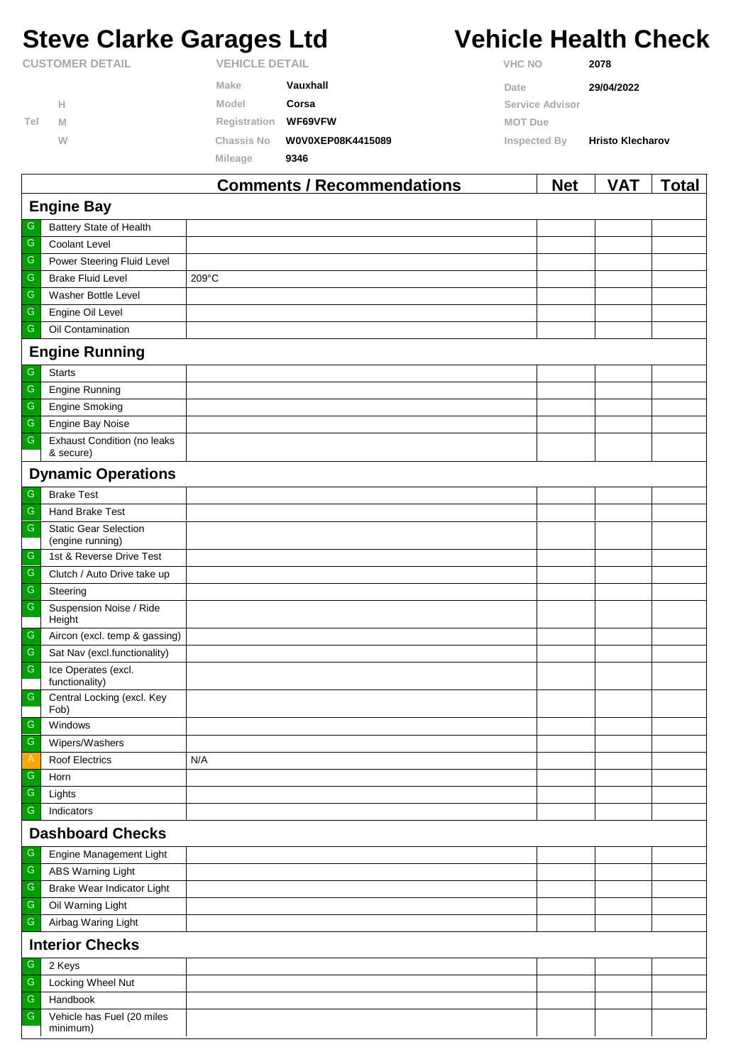# **Steve Clarke Garages Ltd Vehicle Health Check**

|                        |   |                       | Commonte / Decommondatione |                | <b>N</b> <sub>ot</sub> | VAT.                    | Total |
|------------------------|---|-----------------------|----------------------------|----------------|------------------------|-------------------------|-------|
|                        |   | <b>Mileage</b>        | 9346                       |                |                        |                         |       |
|                        | W | Chassis No            | W0V0XEP08K4415089          | Inspected By   |                        | <b>Hristo Klecharov</b> |       |
| Tel                    | M | Registration          | <b>WF69VFW</b>             | <b>MOT Due</b> |                        |                         |       |
|                        | Н | Model                 | Corsa                      |                | Service Advisor        |                         |       |
|                        |   | <b>Make</b>           | Vauxhall                   | Date           |                        | 29/04/2022              |       |
| <b>CUSTOMER DETAIL</b> |   | <b>VEHICLE DETAIL</b> |                            | <b>VHC NO</b>  |                        | 2078                    |       |

|                         |                                                  | Comments / Recommendations | <b>NGT</b> | <b>VAI</b> | <u>i</u> otal |  |  |  |
|-------------------------|--------------------------------------------------|----------------------------|------------|------------|---------------|--|--|--|
| <b>Engine Bay</b>       |                                                  |                            |            |            |               |  |  |  |
| G                       | <b>Battery State of Health</b>                   |                            |            |            |               |  |  |  |
| ${\mathsf G}$           | Coolant Level                                    |                            |            |            |               |  |  |  |
| ${\mathsf G}$           | Power Steering Fluid Level                       |                            |            |            |               |  |  |  |
| ${\mathsf G}$           | <b>Brake Fluid Level</b>                         | 209°C                      |            |            |               |  |  |  |
| ${\mathsf G}$           | Washer Bottle Level                              |                            |            |            |               |  |  |  |
| ${\mathsf G}$           | Engine Oil Level                                 |                            |            |            |               |  |  |  |
| ${\mathsf G}$           | Oil Contamination                                |                            |            |            |               |  |  |  |
|                         | <b>Engine Running</b>                            |                            |            |            |               |  |  |  |
| ${\mathsf G}$           | <b>Starts</b>                                    |                            |            |            |               |  |  |  |
| ${\mathsf G}$           | <b>Engine Running</b>                            |                            |            |            |               |  |  |  |
| ${\mathsf G}$           | <b>Engine Smoking</b>                            |                            |            |            |               |  |  |  |
| ${\mathsf G}$           | Engine Bay Noise                                 |                            |            |            |               |  |  |  |
| ${\mathsf G}$           | <b>Exhaust Condition (no leaks</b><br>& secure)  |                            |            |            |               |  |  |  |
|                         | <b>Dynamic Operations</b>                        |                            |            |            |               |  |  |  |
| G                       | <b>Brake Test</b>                                |                            |            |            |               |  |  |  |
| ${\mathsf G}$           | Hand Brake Test                                  |                            |            |            |               |  |  |  |
| $\overline{\mathbb{G}}$ | <b>Static Gear Selection</b><br>(engine running) |                            |            |            |               |  |  |  |
| G                       | 1st & Reverse Drive Test                         |                            |            |            |               |  |  |  |
| ${\mathsf G}$           | Clutch / Auto Drive take up                      |                            |            |            |               |  |  |  |
| ${\mathsf G}$           | Steering                                         |                            |            |            |               |  |  |  |
| ${\mathsf G}$           | Suspension Noise / Ride                          |                            |            |            |               |  |  |  |
|                         | Height                                           |                            |            |            |               |  |  |  |
| ${\mathsf G}$           | Aircon (excl. temp & gassing)                    |                            |            |            |               |  |  |  |
| ${\mathsf G}$           | Sat Nav (excl.functionality)                     |                            |            |            |               |  |  |  |
| ${\mathsf G}$           | Ice Operates (excl.<br>functionality)            |                            |            |            |               |  |  |  |
| ${\mathsf G}$           | Central Locking (excl. Key<br>Fob)               |                            |            |            |               |  |  |  |
| G                       | Windows                                          |                            |            |            |               |  |  |  |
| ${\mathsf G}$           | Wipers/Washers                                   |                            |            |            |               |  |  |  |
| A                       | Roof Electrics                                   | N/A                        |            |            |               |  |  |  |
| G                       | Horn                                             |                            |            |            |               |  |  |  |
| ${\mathsf G}$           | Lights                                           |                            |            |            |               |  |  |  |
| ${\mathsf G}$           | Indicators                                       |                            |            |            |               |  |  |  |
|                         | <b>Dashboard Checks</b>                          |                            |            |            |               |  |  |  |
| G                       | Engine Management Light                          |                            |            |            |               |  |  |  |
| ${\mathsf G}$           | <b>ABS Warning Light</b>                         |                            |            |            |               |  |  |  |
| ${\mathsf G}$           | Brake Wear Indicator Light                       |                            |            |            |               |  |  |  |
| ${\mathbb G}$           | Oil Warning Light                                |                            |            |            |               |  |  |  |
| ${\mathsf G}$           | Airbag Waring Light                              |                            |            |            |               |  |  |  |
|                         | <b>Interior Checks</b>                           |                            |            |            |               |  |  |  |
| G                       | 2 Keys                                           |                            |            |            |               |  |  |  |
| ${\mathsf G}$           | Locking Wheel Nut                                |                            |            |            |               |  |  |  |
| ${\mathsf G}$           | Handbook                                         |                            |            |            |               |  |  |  |
| ${\mathsf G}$           | Vehicle has Fuel (20 miles<br>minimum)           |                            |            |            |               |  |  |  |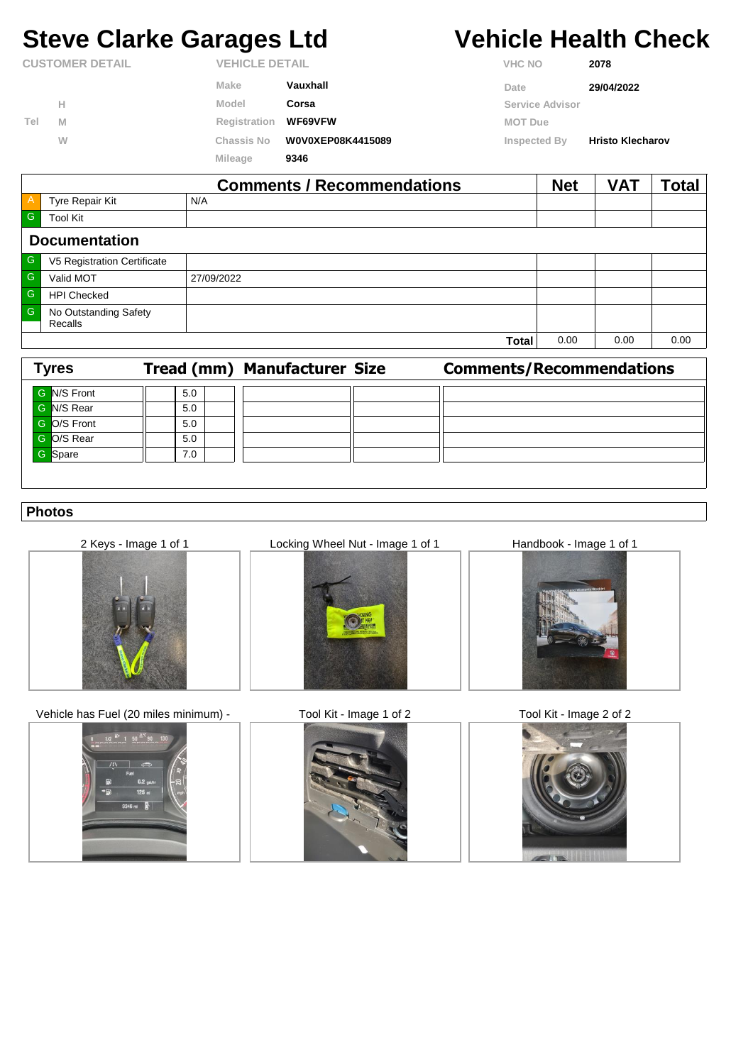## **Steve Clarke Garages Ltd Vehicle Health Check**

| <b>CUSTOMER DETAIL</b> |   | <b>VEHICLE DETAIL</b> |                   | <b>VHC NO</b>          | 2078                    |  |  |
|------------------------|---|-----------------------|-------------------|------------------------|-------------------------|--|--|
|                        |   | Make                  | Vauxhall          | Date                   | 29/04/2022              |  |  |
|                        | н | Model                 | Corsa             | <b>Service Advisor</b> |                         |  |  |
| Tel                    | M | Registration          | <b>WF69VFW</b>    | <b>MOT Due</b>         |                         |  |  |
|                        | W | <b>Chassis No</b>     | W0V0XEP08K4415089 | Inspected By           | <b>Hristo Klecharov</b> |  |  |
|                        |   | Mileage               | 9346              |                        |                         |  |  |

|              |                             | <b>Net</b>   | <b>VAT</b> | Total |      |  |  |
|--------------|-----------------------------|--------------|------------|-------|------|--|--|
| $\mathsf{A}$ | Tyre Repair Kit             | N/A          |            |       |      |  |  |
| $\mathsf{G}$ | <b>Tool Kit</b>             |              |            |       |      |  |  |
|              | <b>Documentation</b>        |              |            |       |      |  |  |
| $\mathsf{G}$ | V5 Registration Certificate |              |            |       |      |  |  |
| $-$ G        | Valid MOT                   | 27/09/2022   |            |       |      |  |  |
| $\mathsf{G}$ | <b>HPI Checked</b>          |              |            |       |      |  |  |
| $\mathsf{G}$ | No Outstanding Safety       |              |            |       |      |  |  |
|              | Recalls                     |              |            |       |      |  |  |
|              |                             | <b>Total</b> | 0.00       | 0.00  | 0.00 |  |  |

| <b>Tyres</b> |     | <b>Tread (mm) Manufacturer Size</b> | <b>Comments/Recommendations</b> |
|--------------|-----|-------------------------------------|---------------------------------|
| G N/S Front  | 5.0 |                                     |                                 |
| G N/S Rear   | 5.0 |                                     |                                 |
| G O/S Front  | 5.0 |                                     |                                 |
| G O/S Rear   | 5.0 |                                     |                                 |
| G Spare      | 7.0 |                                     |                                 |
|              |     |                                     |                                 |

### **Photos**



Vehicle has Fuel (20 miles minimum) - Tool Kit - Image 1 of 2 Tool Kit - Image 2 of 2



2 Keys - Image 1 of 1 Locking Wheel Nut - Image 1 of 1 Handbook - Image 1 of 1